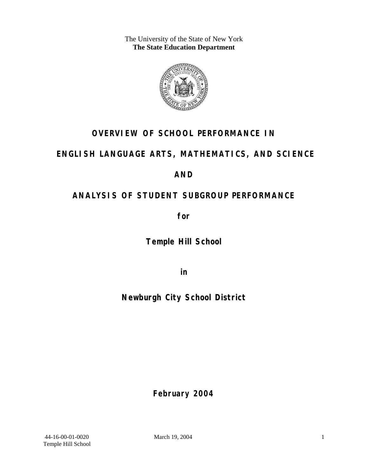The University of the State of New York **The State Education Department** 



## **OVERVIEW OF SCHOOL PERFORMANCE IN**

### **ENGLISH LANGUAGE ARTS, MATHEMATICS, AND SCIENCE**

### **AND**

## **ANALYSIS OF STUDENT SUBGROUP PERFORMANCE**

**for** 

**Temple Hill School**

**in** 

**Newburgh City School District**

**February 2004**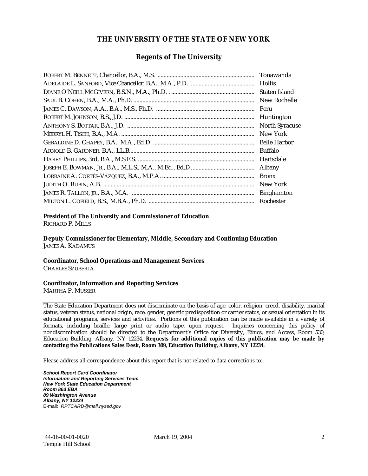#### **THE UNIVERSITY OF THE STATE OF NEW YORK**

#### **Regents of The University**

| Tonawanda             |
|-----------------------|
| <b>Hollis</b>         |
| Staten Island         |
| New Rochelle          |
| Peru                  |
| Huntington            |
| <b>North Syracuse</b> |
| New York              |
| <b>Belle Harbor</b>   |
| <b>Buffalo</b>        |
| Hartsdale             |
| Albany                |
| <b>Bronx</b>          |
| New York              |
| <b>Binghamton</b>     |
| Rochester             |

#### **President of The University and Commissioner of Education**

RICHARD P. MILLS

**Deputy Commissioner for Elementary, Middle, Secondary and Continuing Education**  JAMES A. KADAMUS

#### **Coordinator, School Operations and Management Services**

CHARLES SZUBERLA

#### **Coordinator, Information and Reporting Services**

MARTHA P. MUSSER

The State Education Department does not discriminate on the basis of age, color, religion, creed, disability, marital status, veteran status, national origin, race, gender, genetic predisposition or carrier status, or sexual orientation in its educational programs, services and activities. Portions of this publication can be made available in a variety of formats, including braille, large print or audio tape, upon request. Inquiries concerning this policy of nondiscrimination should be directed to the Department's Office for Diversity, Ethics, and Access, Room 530, Education Building, Albany, NY 12234. **Requests for additional copies of this publication may be made by contacting the Publications Sales Desk, Room 309, Education Building, Albany, NY 12234.** 

Please address all correspondence about this report that is not related to data corrections to:

*School Report Card Coordinator Information and Reporting Services Team New York State Education Department Room 863 EBA 89 Washington Avenue Albany, NY 12234*  E-mail: *RPTCARD@mail.nysed.gov*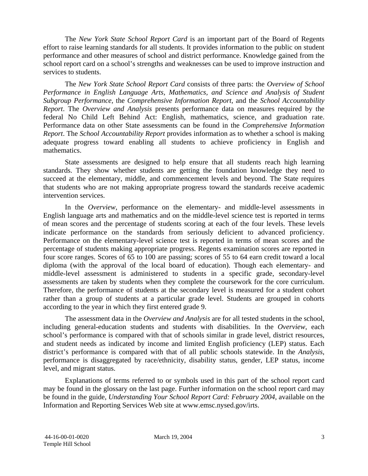The *New York State School Report Card* is an important part of the Board of Regents effort to raise learning standards for all students. It provides information to the public on student performance and other measures of school and district performance. Knowledge gained from the school report card on a school's strengths and weaknesses can be used to improve instruction and services to students.

The *New York State School Report Card* consists of three parts: the *Overview of School Performance in English Language Arts, Mathematics, and Science and Analysis of Student Subgroup Performance,* the *Comprehensive Information Report,* and the *School Accountability Report*. The *Overview and Analysis* presents performance data on measures required by the federal No Child Left Behind Act: English, mathematics, science, and graduation rate. Performance data on other State assessments can be found in the *Comprehensive Information Report*. The *School Accountability Report* provides information as to whether a school is making adequate progress toward enabling all students to achieve proficiency in English and mathematics.

State assessments are designed to help ensure that all students reach high learning standards. They show whether students are getting the foundation knowledge they need to succeed at the elementary, middle, and commencement levels and beyond. The State requires that students who are not making appropriate progress toward the standards receive academic intervention services.

In the *Overview*, performance on the elementary- and middle-level assessments in English language arts and mathematics and on the middle-level science test is reported in terms of mean scores and the percentage of students scoring at each of the four levels. These levels indicate performance on the standards from seriously deficient to advanced proficiency. Performance on the elementary-level science test is reported in terms of mean scores and the percentage of students making appropriate progress. Regents examination scores are reported in four score ranges. Scores of 65 to 100 are passing; scores of 55 to 64 earn credit toward a local diploma (with the approval of the local board of education). Though each elementary- and middle-level assessment is administered to students in a specific grade, secondary-level assessments are taken by students when they complete the coursework for the core curriculum. Therefore, the performance of students at the secondary level is measured for a student cohort rather than a group of students at a particular grade level. Students are grouped in cohorts according to the year in which they first entered grade 9.

The assessment data in the *Overview and Analysis* are for all tested students in the school, including general-education students and students with disabilities. In the *Overview*, each school's performance is compared with that of schools similar in grade level, district resources, and student needs as indicated by income and limited English proficiency (LEP) status. Each district's performance is compared with that of all public schools statewide. In the *Analysis*, performance is disaggregated by race/ethnicity, disability status, gender, LEP status, income level, and migrant status.

Explanations of terms referred to or symbols used in this part of the school report card may be found in the glossary on the last page. Further information on the school report card may be found in the guide, *Understanding Your School Report Card: February 2004*, available on the Information and Reporting Services Web site at www.emsc.nysed.gov/irts.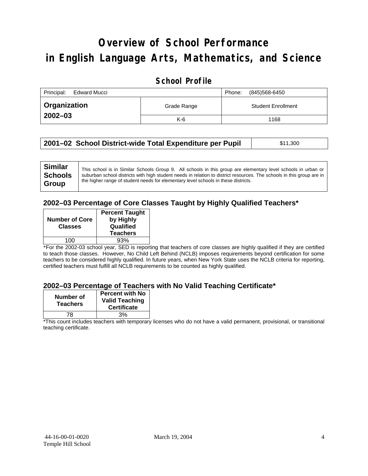# **Overview of School Performance in English Language Arts, Mathematics, and Science**

### **School Profile**

| Principal:<br>Edward Mucci |             | (845)568-6450<br>Phone:   |
|----------------------------|-------------|---------------------------|
| Organization               | Grade Range | <b>Student Enrollment</b> |
| $2002 - 03$                | $K-6$       | 1168                      |

| 2001–02 School District-wide Total Expenditure per Pupil | \$11,300 |
|----------------------------------------------------------|----------|
|                                                          |          |

#### **2002–03 Percentage of Core Classes Taught by Highly Qualified Teachers\***

| <b>Percent Taught</b><br>by Highly<br>Qualified<br><b>Teachers</b> |
|--------------------------------------------------------------------|
| 93%                                                                |
|                                                                    |

\*For the 2002-03 school year, SED is reporting that teachers of core classes are highly qualified if they are certified to teach those classes. However, No Child Left Behind (NCLB) imposes requirements beyond certification for some teachers to be considered highly qualified. In future years, when New York State uses the NCLB criteria for reporting, certified teachers must fulfill all NCLB requirements to be counted as highly qualified.

#### **2002–03 Percentage of Teachers with No Valid Teaching Certificate\***

| Number of<br><b>Teachers</b> | <b>Percent with No</b><br><b>Valid Teaching</b><br><b>Certificate</b> |
|------------------------------|-----------------------------------------------------------------------|
| 78                           | 3%                                                                    |

\*This count includes teachers with temporary licenses who do not have a valid permanent, provisional, or transitional teaching certificate.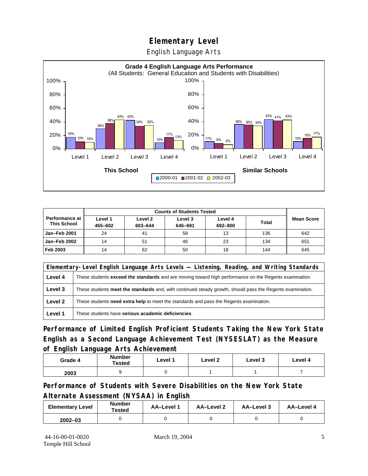English Language Arts



|                                             |                    | <b>Counts of Students Tested</b> |                    |                    |              |                   |
|---------------------------------------------|--------------------|----------------------------------|--------------------|--------------------|--------------|-------------------|
| <b>Performance at</b><br><b>This School</b> | Level 1<br>455-602 | Level 2<br>603-644               | Level 3<br>645-691 | Level 4<br>692-800 | <b>Total</b> | <b>Mean Score</b> |
| Jan-Feb 2001                                | 24                 | 41                               | 58                 | 13                 | 136          | 642               |
| Jan-Feb 2002                                | 14                 | 51                               | 46                 | 23                 | 134          | 651               |
| Feb 2003                                    | 14                 | 62                               | 50                 | 18                 | 144          | 645               |

| Elementary-Level English Language Arts Levels — Listening, Reading, and Writing Standards |                                                                                                           |  |  |  |
|-------------------------------------------------------------------------------------------|-----------------------------------------------------------------------------------------------------------|--|--|--|
| Level 4                                                                                   | These students exceed the standards and are moving toward high performance on the Regents examination.    |  |  |  |
| Level 3                                                                                   | These students meet the standards and, with continued steady growth, should pass the Regents examination. |  |  |  |
| Level 2                                                                                   | These students <b>need extra help</b> to meet the standards and pass the Regents examination.             |  |  |  |
| Level 1                                                                                   | These students have serious academic deficiencies.                                                        |  |  |  |

**Performance of Limited English Proficient Students Taking the New York State English as a Second Language Achievement Test (NYSESLAT) as the Measure of English Language Arts Achievement**

| Grade 4 | <b>Number</b><br><b>Tested</b> | Level 1 | Level 2 | Level 3 | Level 4 |
|---------|--------------------------------|---------|---------|---------|---------|
| 2003    |                                |         |         |         |         |

**Performance of Students with Severe Disabilities on the New York State Alternate Assessment (NYSAA) in English** 

| <b>Elementary Level</b> | <b>Number</b><br>Tested | AA-Level 1 | AA-Level 2 | AA-Level 3 | AA-Level 4 |
|-------------------------|-------------------------|------------|------------|------------|------------|
| $2002 - 03$             |                         |            |            |            |            |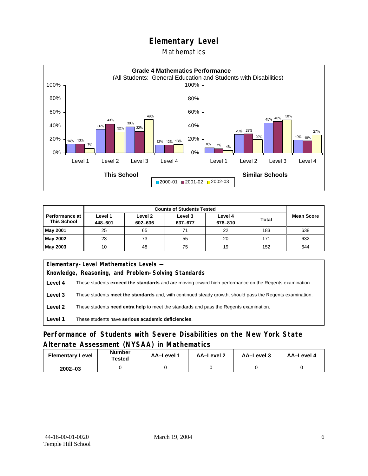### Mathematics



|                                             | <b>Counts of Students Tested</b> |                    |                    |                    |              |                   |
|---------------------------------------------|----------------------------------|--------------------|--------------------|--------------------|--------------|-------------------|
| <b>Performance at</b><br><b>This School</b> | Level 1<br>448-601               | Level 2<br>602-636 | Level 3<br>637-677 | Level 4<br>678-810 | <b>Total</b> | <b>Mean Score</b> |
| <b>May 2001</b>                             | 25                               | 65                 | 71                 | 22                 | 183          | 638               |
| May 2002                                    | 23                               | 73                 | 55                 | 20                 | 171          | 632               |
| May 2003                                    | 10                               | 48                 | 75                 | 19                 | 152          | 644               |

|         | Elementary-Level Mathematics Levels -                                                                         |  |  |  |  |
|---------|---------------------------------------------------------------------------------------------------------------|--|--|--|--|
|         | Knowledge, Reasoning, and Problem-Solving Standards                                                           |  |  |  |  |
| Level 4 | These students <b>exceed the standards</b> and are moving toward high performance on the Regents examination. |  |  |  |  |
| Level 3 | These students meet the standards and, with continued steady growth, should pass the Regents examination.     |  |  |  |  |
| Level 2 | These students need extra help to meet the standards and pass the Regents examination.                        |  |  |  |  |
| Level 1 | These students have serious academic deficiencies.                                                            |  |  |  |  |

### **Performance of Students with Severe Disabilities on the New York State Alternate Assessment (NYSAA) in Mathematics**

| <b>Elementary Level</b> | <b>Number</b><br>Tested | AA-Level 1 | AA-Level 2 | AA-Level 3 | AA-Level 4 |  |
|-------------------------|-------------------------|------------|------------|------------|------------|--|
| $2002 - 03$             |                         |            |            |            |            |  |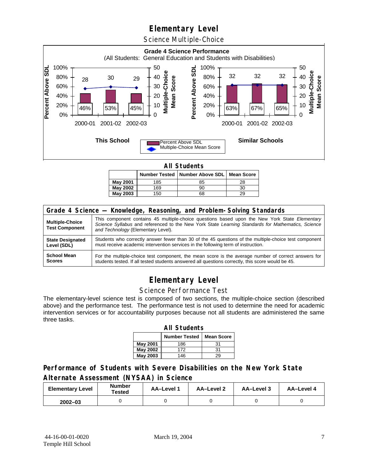Science Multiple-Choice



**All Students** 

|          |     | Number Tested   Number Above SDL   Mean Score |    |
|----------|-----|-----------------------------------------------|----|
| May 2001 | 185 | 85                                            | 28 |
| May 2002 | 169 | 90                                            | 30 |
| May 2003 | 150 | 68                                            | 29 |

| Grade 4 Science - Knowledge, Reasoning, and Problem-Solving Standards |                                                                                                                                                                                                                                          |  |  |  |  |  |
|-----------------------------------------------------------------------|------------------------------------------------------------------------------------------------------------------------------------------------------------------------------------------------------------------------------------------|--|--|--|--|--|
| <b>Multiple-Choice</b><br><b>Test Component</b>                       | This component contains 45 multiple-choice questions based upon the New York State Elementary<br>Science Syllabus and referenced to the New York State Learning Standards for Mathematics, Science<br>and Technology (Elementary Level). |  |  |  |  |  |
| <b>State Designated</b>                                               | Students who correctly answer fewer than 30 of the 45 questions of the multiple-choice test component                                                                                                                                    |  |  |  |  |  |
| Level (SDL)                                                           | must receive academic intervention services in the following term of instruction.                                                                                                                                                        |  |  |  |  |  |
| <b>School Mean</b>                                                    | For the multiple-choice test component, the mean score is the average number of correct answers for                                                                                                                                      |  |  |  |  |  |
| <b>Scores</b>                                                         | students tested. If all tested students answered all questions correctly, this score would be 45.                                                                                                                                        |  |  |  |  |  |

## **Elementary Level**

#### Science Performance Test

The elementary-level science test is composed of two sections, the multiple-choice section (described above) and the performance test. The performance test is not used to determine the need for academic intervention services or for accountability purposes because not all students are administered the same three tasks.

| <b>All Students</b>                       |     |    |  |  |  |  |  |  |  |
|-------------------------------------------|-----|----|--|--|--|--|--|--|--|
| <b>Number Tested</b><br><b>Mean Score</b> |     |    |  |  |  |  |  |  |  |
| May 2001                                  | 186 | 31 |  |  |  |  |  |  |  |
| <b>May 2002</b>                           | 172 | 31 |  |  |  |  |  |  |  |
| <b>May 2003</b>                           | 146 | 29 |  |  |  |  |  |  |  |

### **Performance of Students with Severe Disabilities on the New York State Alternate Assessment (NYSAA) in Science**

| <b>Elementary Level</b> | <b>Number</b><br>Tested | <b>AA-Level 1</b> | AA-Level 2 | AA-Level 3 | AA-Level 4 |  |
|-------------------------|-------------------------|-------------------|------------|------------|------------|--|
| $2002 - 03$             |                         |                   |            |            |            |  |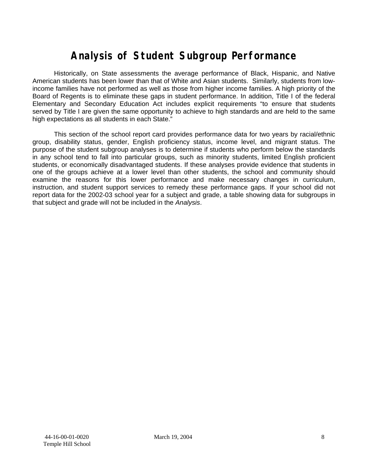# **Analysis of Student Subgroup Performance**

Historically, on State assessments the average performance of Black, Hispanic, and Native American students has been lower than that of White and Asian students. Similarly, students from lowincome families have not performed as well as those from higher income families. A high priority of the Board of Regents is to eliminate these gaps in student performance. In addition, Title I of the federal Elementary and Secondary Education Act includes explicit requirements "to ensure that students served by Title I are given the same opportunity to achieve to high standards and are held to the same high expectations as all students in each State."

This section of the school report card provides performance data for two years by racial/ethnic group, disability status, gender, English proficiency status, income level, and migrant status. The purpose of the student subgroup analyses is to determine if students who perform below the standards in any school tend to fall into particular groups, such as minority students, limited English proficient students, or economically disadvantaged students. If these analyses provide evidence that students in one of the groups achieve at a lower level than other students, the school and community should examine the reasons for this lower performance and make necessary changes in curriculum, instruction, and student support services to remedy these performance gaps. If your school did not report data for the 2002-03 school year for a subject and grade, a table showing data for subgroups in that subject and grade will not be included in the *Analysis*.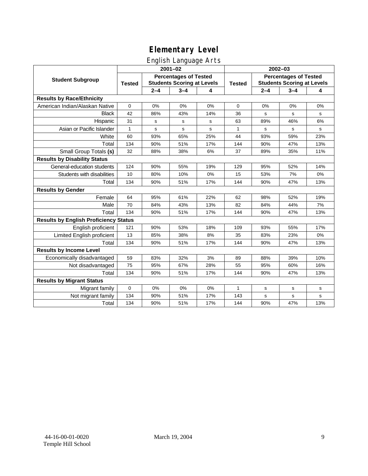### English Language Arts

|                                              | ັ<br>$2001 - 02$                                                                   |         |         |               | 2002-03                                                           |         |         |             |
|----------------------------------------------|------------------------------------------------------------------------------------|---------|---------|---------------|-------------------------------------------------------------------|---------|---------|-------------|
| <b>Student Subgroup</b>                      | <b>Percentages of Tested</b><br><b>Students Scoring at Levels</b><br><b>Tested</b> |         |         | <b>Tested</b> | <b>Percentages of Tested</b><br><b>Students Scoring at Levels</b> |         |         |             |
|                                              |                                                                                    | $2 - 4$ | $3 - 4$ | 4             |                                                                   | $2 - 4$ | $3 - 4$ | 4           |
| <b>Results by Race/Ethnicity</b>             |                                                                                    |         |         |               |                                                                   |         |         |             |
| American Indian/Alaskan Native               | $\mathbf 0$                                                                        | 0%      | 0%      | 0%            | $\mathbf 0$                                                       | 0%      | 0%      | 0%          |
| <b>Black</b>                                 | 42                                                                                 | 86%     | 43%     | 14%           | 36                                                                | s       | s       | s           |
| Hispanic                                     | 31                                                                                 | s       | s       | s             | 63                                                                | 89%     | 46%     | 6%          |
| Asian or Pacific Islander                    | $\mathbf{1}$                                                                       | s       | s       | s             | 1                                                                 | s       | s       | $\mathbf s$ |
| White                                        | 60                                                                                 | 93%     | 65%     | 25%           | 44                                                                | 93%     | 59%     | 23%         |
| Total                                        | 134                                                                                | 90%     | 51%     | 17%           | 144                                                               | 90%     | 47%     | 13%         |
| Small Group Totals (s)                       | 32                                                                                 | 88%     | 38%     | 6%            | 37                                                                | 89%     | 35%     | 11%         |
| <b>Results by Disability Status</b>          |                                                                                    |         |         |               |                                                                   |         |         |             |
| General-education students                   | 124                                                                                | 90%     | 55%     | 19%           | 129                                                               | 95%     | 52%     | 14%         |
| Students with disabilities                   | 10                                                                                 | 80%     | 10%     | 0%            | 15                                                                | 53%     | 7%      | $0\%$       |
| Total                                        | 134                                                                                | 90%     | 51%     | 17%           | 144                                                               | 90%     | 47%     | 13%         |
| <b>Results by Gender</b>                     |                                                                                    |         |         |               |                                                                   |         |         |             |
| Female                                       | 64                                                                                 | 95%     | 61%     | 22%           | 62                                                                | 98%     | 52%     | 19%         |
| Male                                         | 70                                                                                 | 84%     | 43%     | 13%           | 82                                                                | 84%     | 44%     | 7%          |
| Total                                        | 134                                                                                | 90%     | 51%     | 17%           | 144                                                               | 90%     | 47%     | 13%         |
| <b>Results by English Proficiency Status</b> |                                                                                    |         |         |               |                                                                   |         |         |             |
| English proficient                           | 121                                                                                | 90%     | 53%     | 18%           | 109                                                               | 93%     | 55%     | 17%         |
| Limited English proficient                   | 13                                                                                 | 85%     | 38%     | 8%            | 35                                                                | 83%     | 23%     | 0%          |
| Total                                        | 134                                                                                | 90%     | 51%     | 17%           | 144                                                               | 90%     | 47%     | 13%         |
| <b>Results by Income Level</b>               |                                                                                    |         |         |               |                                                                   |         |         |             |
| Economically disadvantaged                   | 59                                                                                 | 83%     | 32%     | 3%            | 89                                                                | 88%     | 39%     | 10%         |
| Not disadvantaged                            | 75                                                                                 | 95%     | 67%     | 28%           | 55                                                                | 95%     | 60%     | 16%         |
| Total                                        | 134                                                                                | 90%     | 51%     | 17%           | 144                                                               | 90%     | 47%     | 13%         |
| <b>Results by Migrant Status</b>             |                                                                                    |         |         |               |                                                                   |         |         |             |
| Migrant family                               | $\mathbf 0$                                                                        | 0%      | 0%      | 0%            | 1                                                                 | s       | s       | s           |
| Not migrant family                           | 134                                                                                | 90%     | 51%     | 17%           | 143                                                               | s       | s       | s           |
| Total                                        | 134                                                                                | 90%     | 51%     | 17%           | 144                                                               | 90%     | 47%     | 13%         |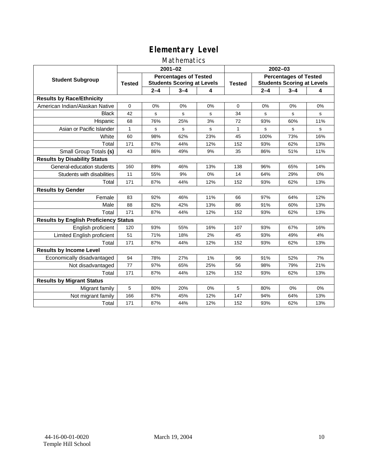### Mathematics

|                                              | $2001 - 02$                                                                        |         |         |               | $2002 - 03$                                                       |         |         |     |
|----------------------------------------------|------------------------------------------------------------------------------------|---------|---------|---------------|-------------------------------------------------------------------|---------|---------|-----|
| <b>Student Subgroup</b>                      | <b>Percentages of Tested</b><br><b>Students Scoring at Levels</b><br><b>Tested</b> |         |         | <b>Tested</b> | <b>Percentages of Tested</b><br><b>Students Scoring at Levels</b> |         |         |     |
|                                              |                                                                                    | $2 - 4$ | $3 - 4$ | 4             |                                                                   | $2 - 4$ | $3 - 4$ | 4   |
| <b>Results by Race/Ethnicity</b>             |                                                                                    |         |         |               |                                                                   |         |         |     |
| American Indian/Alaskan Native               | $\mathbf 0$                                                                        | 0%      | 0%      | 0%            | $\Omega$                                                          | 0%      | 0%      | 0%  |
| <b>Black</b>                                 | 42                                                                                 | s       | s       | s             | 34                                                                | S       | s       | s   |
| Hispanic                                     | 68                                                                                 | 76%     | 25%     | 3%            | 72                                                                | 93%     | 60%     | 11% |
| Asian or Pacific Islander                    | 1                                                                                  | s       | s       | s             | 1                                                                 | s       | s       | s   |
| White                                        | 60                                                                                 | 98%     | 62%     | 23%           | 45                                                                | 100%    | 73%     | 16% |
| Total                                        | 171                                                                                | 87%     | 44%     | 12%           | 152                                                               | 93%     | 62%     | 13% |
| Small Group Totals (s)                       | 43                                                                                 | 86%     | 49%     | 9%            | 35                                                                | 86%     | 51%     | 11% |
| <b>Results by Disability Status</b>          |                                                                                    |         |         |               |                                                                   |         |         |     |
| General-education students                   | 160                                                                                | 89%     | 46%     | 13%           | 138                                                               | 96%     | 65%     | 14% |
| Students with disabilities                   | 11                                                                                 | 55%     | 9%      | 0%            | 14                                                                | 64%     | 29%     | 0%  |
| Total                                        | 171                                                                                | 87%     | 44%     | 12%           | 152                                                               | 93%     | 62%     | 13% |
| <b>Results by Gender</b>                     |                                                                                    |         |         |               |                                                                   |         |         |     |
| Female                                       | 83                                                                                 | 92%     | 46%     | 11%           | 66                                                                | 97%     | 64%     | 12% |
| Male                                         | 88                                                                                 | 82%     | 42%     | 13%           | 86                                                                | 91%     | 60%     | 13% |
| Total                                        | 171                                                                                | 87%     | 44%     | 12%           | 152                                                               | 93%     | 62%     | 13% |
| <b>Results by English Proficiency Status</b> |                                                                                    |         |         |               |                                                                   |         |         |     |
| English proficient                           | 120                                                                                | 93%     | 55%     | 16%           | 107                                                               | 93%     | 67%     | 16% |
| Limited English proficient                   | 51                                                                                 | 71%     | 18%     | 2%            | 45                                                                | 93%     | 49%     | 4%  |
| Total                                        | 171                                                                                | 87%     | 44%     | 12%           | 152                                                               | 93%     | 62%     | 13% |
| <b>Results by Income Level</b>               |                                                                                    |         |         |               |                                                                   |         |         |     |
| Economically disadvantaged                   | 94                                                                                 | 78%     | 27%     | 1%            | 96                                                                | 91%     | 52%     | 7%  |
| Not disadvantaged                            | 77                                                                                 | 97%     | 65%     | 25%           | 56                                                                | 98%     | 79%     | 21% |
| Total                                        | 171                                                                                | 87%     | 44%     | 12%           | 152                                                               | 93%     | 62%     | 13% |
| <b>Results by Migrant Status</b>             |                                                                                    |         |         |               |                                                                   |         |         |     |
| Migrant family                               | 5                                                                                  | 80%     | 20%     | 0%            | 5                                                                 | 80%     | 0%      | 0%  |
| Not migrant family                           | 166                                                                                | 87%     | 45%     | 12%           | 147                                                               | 94%     | 64%     | 13% |
| Total                                        | 171                                                                                | 87%     | 44%     | 12%           | 152                                                               | 93%     | 62%     | 13% |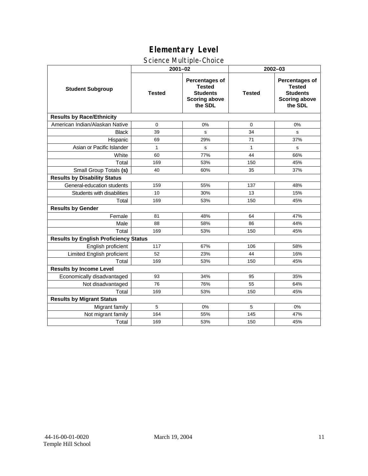### Science Multiple-Choice

|                                              |               | $2001 - 02$                                                                           | 2002-03       |                                                                                              |  |  |  |
|----------------------------------------------|---------------|---------------------------------------------------------------------------------------|---------------|----------------------------------------------------------------------------------------------|--|--|--|
| <b>Student Subgroup</b>                      | <b>Tested</b> | Percentages of<br><b>Tested</b><br><b>Students</b><br><b>Scoring above</b><br>the SDL | <b>Tested</b> | <b>Percentages of</b><br><b>Tested</b><br><b>Students</b><br><b>Scoring above</b><br>the SDL |  |  |  |
| <b>Results by Race/Ethnicity</b>             |               |                                                                                       |               |                                                                                              |  |  |  |
| American Indian/Alaskan Native               | $\mathbf 0$   | 0%                                                                                    | $\mathbf 0$   | 0%                                                                                           |  |  |  |
| <b>Black</b>                                 | 39            | s                                                                                     | 34            | s                                                                                            |  |  |  |
| Hispanic                                     | 69            | 29%                                                                                   | 71            | 37%                                                                                          |  |  |  |
| Asian or Pacific Islander                    | $\mathbf{1}$  | s                                                                                     | $\mathbf{1}$  | s                                                                                            |  |  |  |
| White                                        | 60            | 77%                                                                                   | 44            | 66%                                                                                          |  |  |  |
| Total                                        | 169           | 53%                                                                                   | 150           | 45%                                                                                          |  |  |  |
| Small Group Totals (s)                       | 40            | 60%                                                                                   | 35            | 37%                                                                                          |  |  |  |
| <b>Results by Disability Status</b>          |               |                                                                                       |               |                                                                                              |  |  |  |
| General-education students                   | 159           | 55%                                                                                   | 137           | 48%                                                                                          |  |  |  |
| Students with disabilities                   | 10            | 30%                                                                                   | 13            | 15%                                                                                          |  |  |  |
| Total                                        | 169           | 53%                                                                                   | 150           | 45%                                                                                          |  |  |  |
| <b>Results by Gender</b>                     |               |                                                                                       |               |                                                                                              |  |  |  |
| Female                                       | 81            | 48%                                                                                   | 64            | 47%                                                                                          |  |  |  |
| Male                                         | 88            | 58%                                                                                   | 86            | 44%                                                                                          |  |  |  |
| Total                                        | 169           | 53%                                                                                   | 150           | 45%                                                                                          |  |  |  |
| <b>Results by English Proficiency Status</b> |               |                                                                                       |               |                                                                                              |  |  |  |
| English proficient                           | 117           | 67%                                                                                   | 106           | 58%                                                                                          |  |  |  |
| Limited English proficient                   | 52            | 23%                                                                                   | 44            | 16%                                                                                          |  |  |  |
| Total                                        | 169           | 53%                                                                                   | 150           | 45%                                                                                          |  |  |  |
| <b>Results by Income Level</b>               |               |                                                                                       |               |                                                                                              |  |  |  |
| Economically disadvantaged                   | 93            | 34%                                                                                   | 95            | 35%                                                                                          |  |  |  |
| Not disadvantaged                            | 76            | 76%                                                                                   | 55            | 64%                                                                                          |  |  |  |
| Total                                        | 169           | 53%                                                                                   | 150           | 45%                                                                                          |  |  |  |
| <b>Results by Migrant Status</b>             |               |                                                                                       |               |                                                                                              |  |  |  |
| Migrant family                               | 5             | 0%                                                                                    | 5             | 0%                                                                                           |  |  |  |
| Not migrant family                           | 164           | 55%                                                                                   | 145           | 47%                                                                                          |  |  |  |
| Total                                        | 169           | 53%                                                                                   | 150           | 45%                                                                                          |  |  |  |